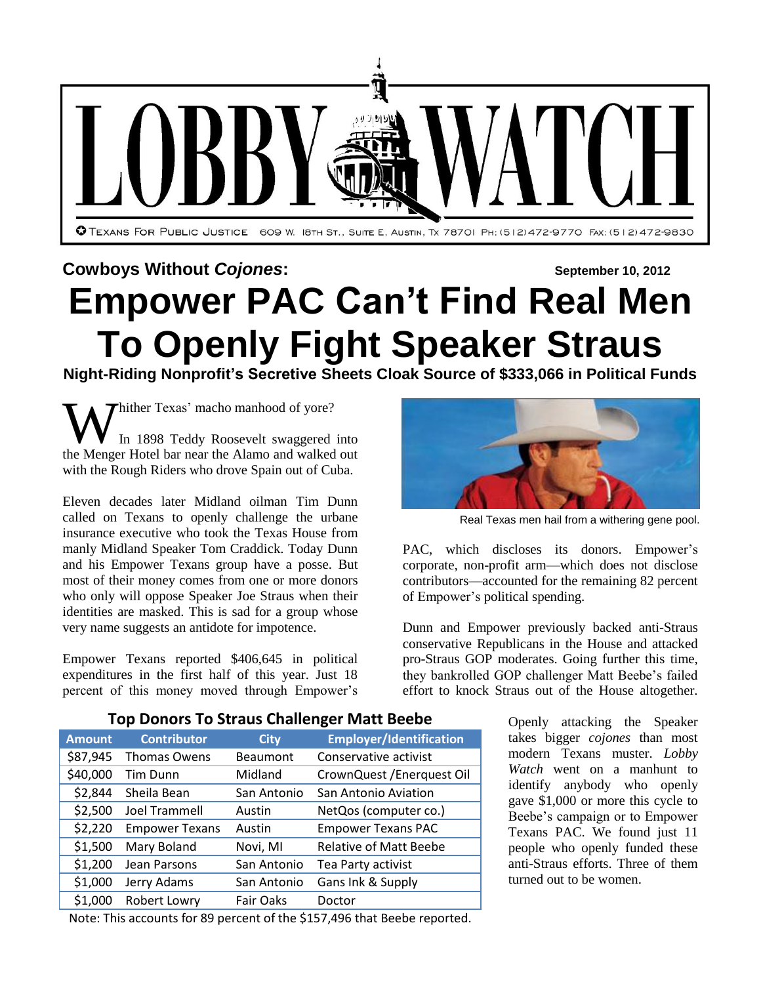

# **Cowboys Without** *Cojones***: September 10, 2012 Empower PAC Can't Find Real Men To Openly Fight Speaker Straus**

**Night-Riding Nonprofit's Secretive Sheets Cloak Source of \$333,066 in Political Funds**

Thither Texas' macho manhood of yore? In 1898 Teddy Roosevelt swaggered into **the Menger Hotel bar near the Alamo and walked out** the Menger Hotel bar near the Alamo and walked out with the Rough Riders who drove Spain out of Cuba.

Eleven decades later Midland oilman Tim Dunn called on Texans to openly challenge the urbane insurance executive who took the Texas House from manly Midland Speaker Tom Craddick. Today Dunn and his Empower Texans group have a posse. But most of their money comes from one or more donors who only will oppose Speaker Joe Straus when their identities are masked. This is sad for a group whose very name suggests an antidote for impotence.

Empower Texans reported \$406,645 in political expenditures in the first half of this year. Just 18 percent of this money moved through Empower's



Real Texas men hail from a withering gene pool.

PAC, which discloses its donors. Empower's corporate, non-profit arm—which does not disclose contributors—accounted for the remaining 82 percent of Empower's political spending.

Dunn and Empower previously backed anti-Straus conservative Republicans in the House and attacked pro-Straus GOP moderates. Going further this time, they bankrolled GOP challenger Matt Beebe's failed effort to knock Straus out of the House altogether.

| <b>Amount</b> | <b>Contributor</b>    | <b>City</b> | <b>Employer/Identification</b> |
|---------------|-----------------------|-------------|--------------------------------|
| \$87,945      | Thomas Owens          | Beaumont    | Conservative activist          |
| \$40,000      | Tim Dunn              | Midland     | CrownQuest / Enerquest Oil     |
| \$2,844       | Sheila Bean           | San Antonio | San Antonio Aviation           |
| \$2,500       | Joel Trammell         | Austin      | NetQos (computer co.)          |
| \$2,220       | <b>Empower Texans</b> | Austin      | <b>Empower Texans PAC</b>      |
| \$1,500       | Mary Boland           | Novi, MI    | <b>Relative of Matt Beebe</b>  |
| \$1,200       | Jean Parsons          | San Antonio | Tea Party activist             |
| \$1,000       | Jerry Adams           | San Antonio | Gans Ink & Supply              |
| \$1,000       | Robert Lowry          | Fair Oaks   | Doctor                         |

**Top Donors To Straus Challenger Matt Beebe**

Openly attacking the Speaker takes bigger *cojones* than most modern Texans muster. *Lobby Watch* went on a manhunt to identify anybody who openly gave \$1,000 or more this cycle to Beebe's campaign or to Empower Texans PAC. We found just 11 people who openly funded these anti-Straus efforts. Three of them turned out to be women.

Note: This accounts for 89 percent of the \$157,496 that Beebe reported.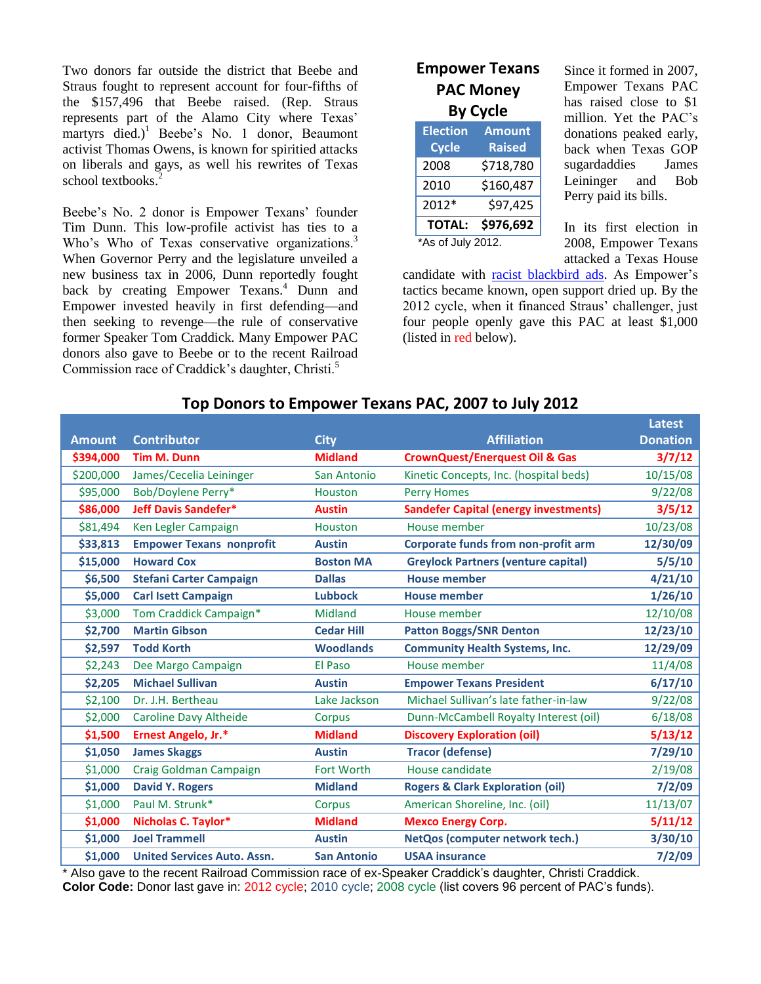Two donors far outside the district that Beebe and Straus fought to represent account for four-fifths of the \$157,496 that Beebe raised. (Rep. Straus represents part of the Alamo City where Texas' martyrs died.)<sup>1</sup> Beebe's No. 1 donor, Beaumont activist Thomas Owens, is known for spiritied attacks on liberals and gays, as well his rewrites of Texas school textbooks.<sup>2</sup>

Beebe's No. 2 donor is Empower Texans' founder Tim Dunn. This low-profile activist has ties to a Who's Who of Texas conservative organizations.<sup>3</sup> When Governor Perry and the legislature unveiled a new business tax in 2006, Dunn reportedly fought back by creating Empower Texans.<sup>4</sup> Dunn and Empower invested heavily in first defending—and then seeking to revenge—the rule of conservative former Speaker Tom Craddick. Many Empower PAC donors also gave to Beebe or to the recent Railroad Commission race of Craddick's daughter, Christi.<sup>5</sup>

## **Empower Texans PAC Money By Cycle**

| <b>Election</b>            | <b>Amount</b> |  |  |  |  |
|----------------------------|---------------|--|--|--|--|
| <b>Cycle</b>               | <b>Raised</b> |  |  |  |  |
| 2008                       | \$718,780     |  |  |  |  |
| 2010                       | \$160,487     |  |  |  |  |
| 2012*                      | \$97,425      |  |  |  |  |
| \$976,692<br><b>TOTAL:</b> |               |  |  |  |  |
| *As of July 2012.          |               |  |  |  |  |

Since it formed in 2007, Empower Texans PAC has raised close to \$1 million. Yet the PAC's donations peaked early, back when Texas GOP sugardaddies James Leininger and Bob Perry paid its bills.

In its first election in 2008, Empower Texans attacked a Texas House

candidate with [racist blackbird ads.](http://www.tpj.org/2008/12/blurb-goes-here-news-release-for.html) As Empower's tactics became known, open support dried up. By the 2012 cycle, when it financed Straus' challenger, just four people openly gave this PAC at least \$1,000 (listed in red below).

|               |                                    |                    |                                              | <b>Latest</b>   |
|---------------|------------------------------------|--------------------|----------------------------------------------|-----------------|
| <b>Amount</b> | <b>Contributor</b>                 | <b>City</b>        | <b>Affiliation</b>                           | <b>Donation</b> |
| \$394,000     | <b>Tim M. Dunn</b>                 | <b>Midland</b>     | <b>CrownQuest/Enerquest Oil &amp; Gas</b>    | 3/7/12          |
| \$200,000     | James/Cecelia Leininger            | San Antonio        | Kinetic Concepts, Inc. (hospital beds)       | 10/15/08        |
| \$95,000      | Bob/Doylene Perry*                 | Houston            | <b>Perry Homes</b>                           | 9/22/08         |
| \$86,000      | <b>Jeff Davis Sandefer*</b>        | <b>Austin</b>      | <b>Sandefer Capital (energy investments)</b> | 3/5/12          |
| \$81,494      | Ken Legler Campaign                | <b>Houston</b>     | House member                                 | 10/23/08        |
| \$33,813      | <b>Empower Texans nonprofit</b>    | <b>Austin</b>      | <b>Corporate funds from non-profit arm</b>   | 12/30/09        |
| \$15,000      | <b>Howard Cox</b>                  | <b>Boston MA</b>   | <b>Greylock Partners (venture capital)</b>   | 5/5/10          |
| \$6,500       | <b>Stefani Carter Campaign</b>     | <b>Dallas</b>      | <b>House member</b>                          | 4/21/10         |
| \$5,000       | <b>Carl Isett Campaign</b>         | <b>Lubbock</b>     | <b>House member</b>                          | 1/26/10         |
| \$3,000       | Tom Craddick Campaign*             | Midland            | House member                                 | 12/10/08        |
| \$2,700       | <b>Martin Gibson</b>               | <b>Cedar Hill</b>  | <b>Patton Boggs/SNR Denton</b>               | 12/23/10        |
| \$2,597       | <b>Todd Korth</b>                  | <b>Woodlands</b>   | <b>Community Health Systems, Inc.</b>        | 12/29/09        |
| \$2,243       | Dee Margo Campaign                 | El Paso            | House member                                 | 11/4/08         |
| \$2,205       | <b>Michael Sullivan</b>            | <b>Austin</b>      | <b>Empower Texans President</b>              | 6/17/10         |
| \$2,100       | Dr. J.H. Bertheau                  | Lake Jackson       | Michael Sullivan's late father-in-law        | 9/22/08         |
| \$2,000       | <b>Caroline Davy Altheide</b>      | Corpus             | Dunn-McCambell Royalty Interest (oil)        | 6/18/08         |
| \$1,500       | Ernest Angelo, Jr.*                | <b>Midland</b>     | <b>Discovery Exploration (oil)</b>           | 5/13/12         |
| \$1,050       | <b>James Skaggs</b>                | <b>Austin</b>      | <b>Tracor (defense)</b>                      | 7/29/10         |
| \$1,000       | Craig Goldman Campaign             | <b>Fort Worth</b>  | House candidate                              | 2/19/08         |
| \$1,000       | <b>David Y. Rogers</b>             | <b>Midland</b>     | <b>Rogers &amp; Clark Exploration (oil)</b>  | 7/2/09          |
| \$1,000       | Paul M. Strunk*                    | Corpus             | American Shoreline, Inc. (oil)               | 11/13/07        |
| \$1,000       | Nicholas C. Taylor*                | <b>Midland</b>     | <b>Mexco Energy Corp.</b>                    | 5/11/12         |
| \$1,000       | <b>Joel Trammell</b>               | <b>Austin</b>      | NetQos (computer network tech.)              | 3/30/10         |
| \$1,000       | <b>United Services Auto, Assn.</b> | <b>San Antonio</b> | <b>USAA insurance</b>                        | 7/2/09          |

# **Top Donors to Empower Texans PAC, 2007 to July 2012**

Also gave to the recent Railroad Commission race of ex-Speaker Craddick's daughter, Christi Craddick. **Color Code:** Donor last gave in: 2012 cycle; 2010 cycle; 2008 cycle (list covers 96 percent of PAC's funds).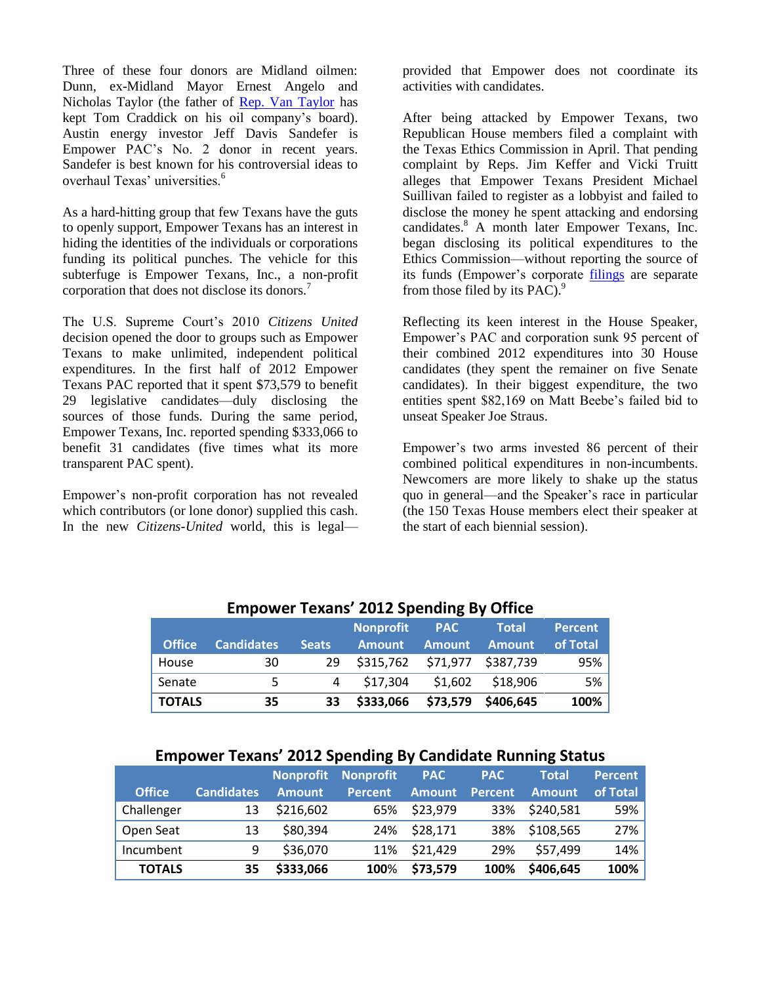Three of these four donors are Midland oilmen: Dunn, ex-Midland Mayor Ernest Angelo and Nicholas Taylor (the father of [Rep. Van Taylor](http://www.texasobserver.org/cover-story/speak-no-evil?tmpl=component&print=1) has kept Tom Craddick on his oil company's board). Austin energy investor Jeff Davis Sandefer is Empower PAC's No. 2 donor in recent years. Sandefer is best known for his controversial ideas to overhaul Texas' universities.<sup>6</sup>

As a hard-hitting group that few Texans have the guts to openly support, Empower Texans has an interest in hiding the identities of the individuals or corporations funding its political punches. The vehicle for this subterfuge is Empower Texans, Inc., a non-profit corporation that does not disclose its donors.<sup>7</sup>

The U.S. Supreme Court's 2010 *Citizens United* decision opened the door to groups such as Empower Texans to make unlimited, independent political expenditures. In the first half of 2012 Empower Texans PAC reported that it spent \$73,579 to benefit 29 legislative candidates—duly disclosing the sources of those funds. During the same period, Empower Texans, Inc. reported spending \$333,066 to benefit 31 candidates (five times what its more transparent PAC spent).

Empower's non-profit corporation has not revealed which contributors (or lone donor) supplied this cash. In the new *Citizens-United* world, this is legalprovided that Empower does not coordinate its activities with candidates.

After being attacked by Empower Texans, two Republican House members filed a complaint with the Texas Ethics Commission in April. That pending complaint by Reps. Jim Keffer and Vicki Truitt alleges that Empower Texans President Michael Suillivan failed to register as a lobbyist and failed to disclose the money he spent attacking and endorsing candidates.<sup>8</sup> A month later Empower Texans, Inc. began disclosing its political expenditures to the Ethics Commission—without reporting the source of its funds (Empower's corporate [filings](http://www.ethics.state.tx.us/php/fsearchSimple.php) are separate from those filed by its  $PAC$ ).<sup>9</sup>

Reflecting its keen interest in the House Speaker, Empower's PAC and corporation sunk 95 percent of their combined 2012 expenditures into 30 House candidates (they spent the remainer on five Senate candidates). In their biggest expenditure, the two entities spent \$82,169 on Matt Beebe's failed bid to unseat Speaker Joe Straus.

Empower's two arms invested 86 percent of their combined political expenditures in non-incumbents. Newcomers are more likely to shake up the status quo in general—and the Speaker's race in particular (the 150 Texas House members elect their speaker at the start of each biennial session).

|               |                   |              | ENDONCE TOAGHS EVEL SPONDING BY UNICC |               |               |                |
|---------------|-------------------|--------------|---------------------------------------|---------------|---------------|----------------|
|               |                   |              | <b>Nonprofit</b>                      | <b>PAC</b>    | <b>Total</b>  | <b>Percent</b> |
| <b>Office</b> | <b>Candidates</b> | <b>Seats</b> | <b>Amount</b>                         | <b>Amount</b> | <b>Amount</b> | of Total       |
| House         | 30                | 29           | \$315,762                             | \$71,977      | \$387,739     | 95%            |
| Senate        | 5                 | 4            | \$17,304                              | \$1,602       | \$18,906      | 5%             |
| <b>TOTALS</b> | 35                | 33           | \$333,066                             | \$73,579      | \$406,645     | 100%           |

## **Empower Texans' 2012 Spending By Office**

#### **Empower Texans' 2012 Spending By Candidate Running Status**

|               |                   |               | <b>Nonprofit Nonprofit</b> | <b>PAC</b>    | <b>PAC</b>     | <b>Total</b>  | <b>Percent</b> |
|---------------|-------------------|---------------|----------------------------|---------------|----------------|---------------|----------------|
| <b>Office</b> | <b>Candidates</b> | <b>Amount</b> | <b>Percent</b>             | <b>Amount</b> | <b>Percent</b> | <b>Amount</b> | of Total       |
| Challenger    | 13                | \$216,602     | 65%                        | \$23,979      | 33%            | \$240,581     | 59%            |
| Open Seat     | 13                | \$80,394      | 24%                        | \$28,171      | 38%            | \$108,565     | 27%            |
| Incumbent     | 9                 | \$36,070      |                            | 11% \$21,429  | 29%            | \$57,499      | 14%            |
| <b>TOTALS</b> | 35                | \$333,066     | 100%                       | \$73,579      | 100%           | \$406,645     | 100%           |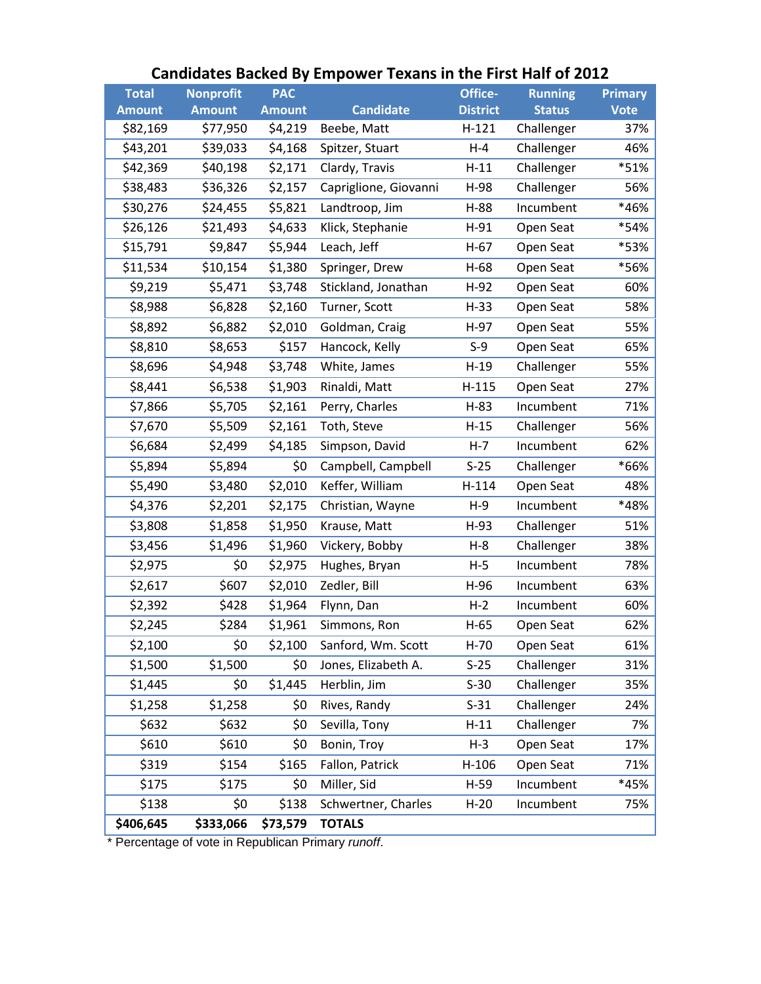| <b>Total</b>  | <b>Nonprofit</b> | <b>PAC</b>    |                       | Office-         | <b>Running</b> | <b>Primary</b> |
|---------------|------------------|---------------|-----------------------|-----------------|----------------|----------------|
| <b>Amount</b> | <b>Amount</b>    | <b>Amount</b> | <b>Candidate</b>      | <b>District</b> | <b>Status</b>  | <b>Vote</b>    |
| \$82,169      | \$77,950         | \$4,219       | Beebe, Matt           | $H-121$         | Challenger     | 37%            |
| \$43,201      | \$39,033         | \$4,168       | Spitzer, Stuart       | $H - 4$         | Challenger     | 46%            |
| \$42,369      | \$40,198         | \$2,171       | Clardy, Travis        | $H-11$          | Challenger     | *51%           |
| \$38,483      | \$36,326         | \$2,157       | Capriglione, Giovanni | H-98            | Challenger     | 56%            |
| \$30,276      | \$24,455         | \$5,821       | Landtroop, Jim        | $H-88$          | Incumbent      | *46%           |
| \$26,126      | \$21,493         | \$4,633       | Klick, Stephanie      | $H-91$          | Open Seat      | *54%           |
| \$15,791      | \$9,847          | \$5,944       | Leach, Jeff           | $H-67$          | Open Seat      | *53%           |
| \$11,534      | \$10,154         | \$1,380       | Springer, Drew        | $H-68$          | Open Seat      | *56%           |
| \$9,219       | \$5,471          | \$3,748       | Stickland, Jonathan   | $H-92$          | Open Seat      | 60%            |
| \$8,988       | \$6,828          | \$2,160       | Turner, Scott         | $H-33$          | Open Seat      | 58%            |
| \$8,892       | \$6,882          | \$2,010       | Goldman, Craig        | $H-97$          | Open Seat      | 55%            |
| \$8,810       | \$8,653          | \$157         | Hancock, Kelly        | $S-9$           | Open Seat      | 65%            |
| \$8,696       | \$4,948          | \$3,748       | White, James          | $H-19$          | Challenger     | 55%            |
| \$8,441       | \$6,538          | \$1,903       | Rinaldi, Matt         | $H-115$         | Open Seat      | 27%            |
| \$7,866       | \$5,705          | \$2,161       | Perry, Charles        | $H-83$          | Incumbent      | 71%            |
| \$7,670       | \$5,509          | \$2,161       | Toth, Steve           | $H-15$          | Challenger     | 56%            |
| \$6,684       | \$2,499          | \$4,185       | Simpson, David        | $H - 7$         | Incumbent      | 62%            |
| \$5,894       | \$5,894          | \$0           | Campbell, Campbell    | $S-25$          | Challenger     | *66%           |
| \$5,490       | \$3,480          | \$2,010       | Keffer, William       | $H-114$         | Open Seat      | 48%            |
| \$4,376       | \$2,201          | \$2,175       | Christian, Wayne      | $H-9$           | Incumbent      | *48%           |
| \$3,808       | \$1,858          | \$1,950       | Krause, Matt          | $H-93$          | Challenger     | 51%            |
| \$3,456       | \$1,496          | \$1,960       | Vickery, Bobby        | $H-8$           | Challenger     | 38%            |
| \$2,975       | \$0              | \$2,975       | Hughes, Bryan         | $H-5$           | Incumbent      | 78%            |
| \$2,617       | \$607            | \$2,010       | Zedler, Bill          | $H-96$          | Incumbent      | 63%            |
| \$2,392       | \$428            | \$1,964       | Flynn, Dan            | $H-2$           | Incumbent      | 60%            |
| \$2,245       | \$284            | \$1,961       | Simmons, Ron          | $H-65$          | Open Seat      | 62%            |
| \$2,100       | \$0              | \$2,100       | Sanford, Wm. Scott    | $H-70$          | Open Seat      | 61%            |
| \$1,500       | \$1,500          | \$0           | Jones, Elizabeth A.   | $S-25$          | Challenger     | 31%            |
| \$1,445       | \$0              | \$1,445       | Herblin, Jim          | $S-30$          | Challenger     | 35%            |
| \$1,258       | \$1,258          | \$0           | Rives, Randy          | $S-31$          | Challenger     | 24%            |
| \$632         | \$632            | \$0           | Sevilla, Tony         | $H-11$          | Challenger     | 7%             |
| \$610         | \$610            | \$0           | Bonin, Troy           | $H-3$           | Open Seat      | 17%            |
| \$319         | \$154            | \$165         | Fallon, Patrick       | $H-106$         | Open Seat      | 71%            |
| \$175         | \$175            | \$0           | Miller, Sid           | $H-59$          | Incumbent      | *45%           |
| \$138         | \$0              | \$138         | Schwertner, Charles   | $H-20$          | Incumbent      | 75%            |
| \$406,645     | \$333,066        | \$73,579      | <b>TOTALS</b>         |                 |                |                |

# **Candidates Backed By Empower Texans in the First Half of 2012**

\* Percentage of vote in Republican Primary *runoff*.